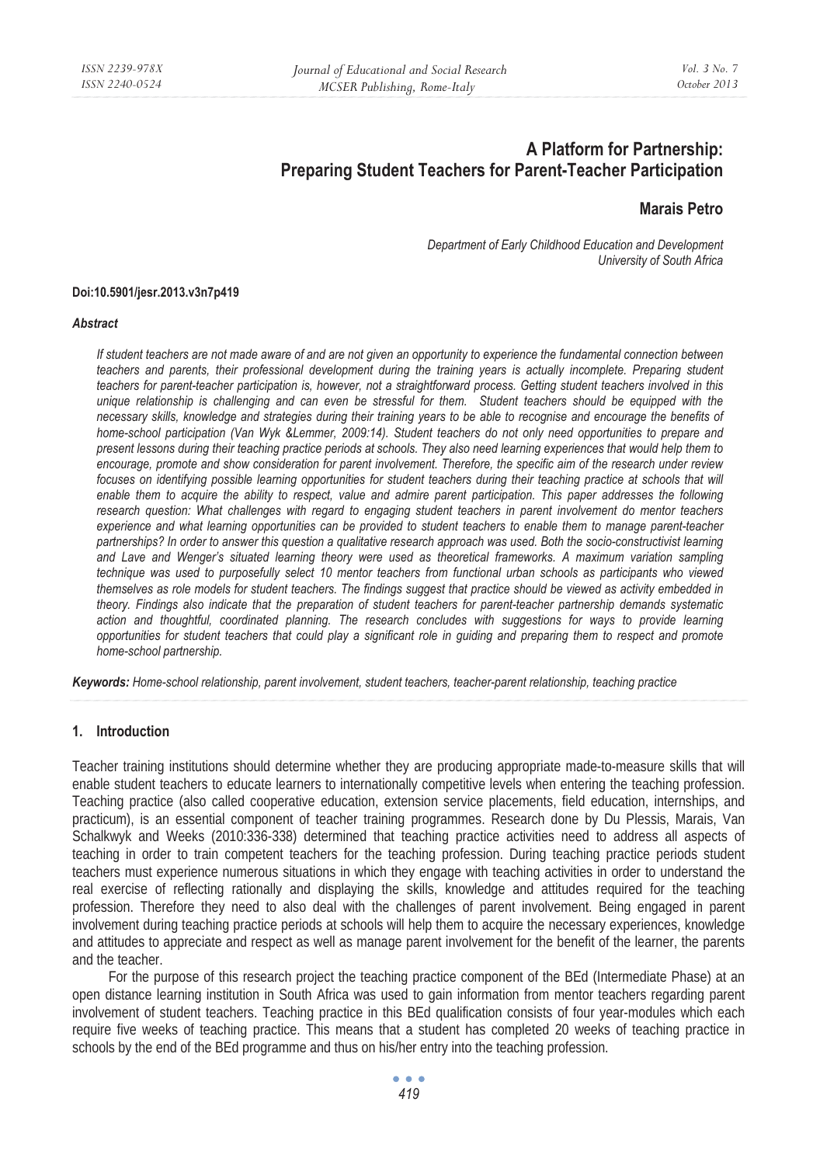# **A Platform for Partnership: Preparing Student Teachers for Parent-Teacher Participation**

### **Marais Petro**

*Department of Early Childhood Education and Development University of South Africa* 

#### **Doi:10.5901/jesr.2013.v3n7p419**

#### *Abstract*

*If student teachers are not made aware of and are not given an opportunity to experience the fundamental connection between*  teachers and parents, their professional development during the training years is actually incomplete. Preparing student *teachers for parent-teacher participation is, however, not a straightforward process. Getting student teachers involved in this unique relationship is challenging and can even be stressful for them.* Student teachers should be equipped with the *necessary skills, knowledge and strategies during their training years to be able to recognise and encourage the benefits of home-school participation (Van Wyk &Lemmer, 2009:14). Student teachers do not only need opportunities to prepare and present lessons during their teaching practice periods at schools. They also need learning experiences that would help them to encourage, promote and show consideration for parent involvement. Therefore, the specific aim of the research under review focuses on identifying possible learning opportunities for student teachers during their teaching practice at schools that will* enable them to acquire the ability to respect, value and admire parent participation. This paper addresses the following *research question: What challenges with regard to engaging student teachers in parent involvement do mentor teachers experience and what learning opportunities can be provided to student teachers to enable them to manage parent-teacher partnerships? In order to answer this question a qualitative research approach was used. Both the socio-constructivist learning and Lave and Wenger's situated learning theory were used as theoretical frameworks. A maximum variation sampling technique was used to purposefully select 10 mentor teachers from functional urban schools as participants who viewed themselves as role models for student teachers. The findings suggest that practice should be viewed as activity embedded in theory. Findings also indicate that the preparation of student teachers for parent-teacher partnership demands systematic*  action and thoughtful, coordinated planning. The research concludes with suggestions for ways to provide learning *opportunities for student teachers that could play a significant role in guiding and preparing them to respect and promote home-school partnership.* 

*Keywords: Home-school relationship, parent involvement, student teachers, teacher-parent relationship, teaching practice* 

### **1. Introduction**

Teacher training institutions should determine whether they are producing appropriate made-to-measure skills that will enable student teachers to educate learners to internationally competitive levels when entering the teaching profession. Teaching practice (also called cooperative education, extension service placements, field education, internships, and practicum), is an essential component of teacher training programmes. Research done by Du Plessis, Marais, Van Schalkwyk and Weeks (2010:336-338) determined that teaching practice activities need to address all aspects of teaching in order to train competent teachers for the teaching profession. During teaching practice periods student teachers must experience numerous situations in which they engage with teaching activities in order to understand the real exercise of reflecting rationally and displaying the skills, knowledge and attitudes required for the teaching profession. Therefore they need to also deal with the challenges of parent involvement. Being engaged in parent involvement during teaching practice periods at schools will help them to acquire the necessary experiences, knowledge and attitudes to appreciate and respect as well as manage parent involvement for the benefit of the learner, the parents and the teacher.

For the purpose of this research project the teaching practice component of the BEd (Intermediate Phase) at an open distance learning institution in South Africa was used to gain information from mentor teachers regarding parent involvement of student teachers. Teaching practice in this BEd qualification consists of four year-modules which each require five weeks of teaching practice. This means that a student has completed 20 weeks of teaching practice in schools by the end of the BEd programme and thus on his/her entry into the teaching profession.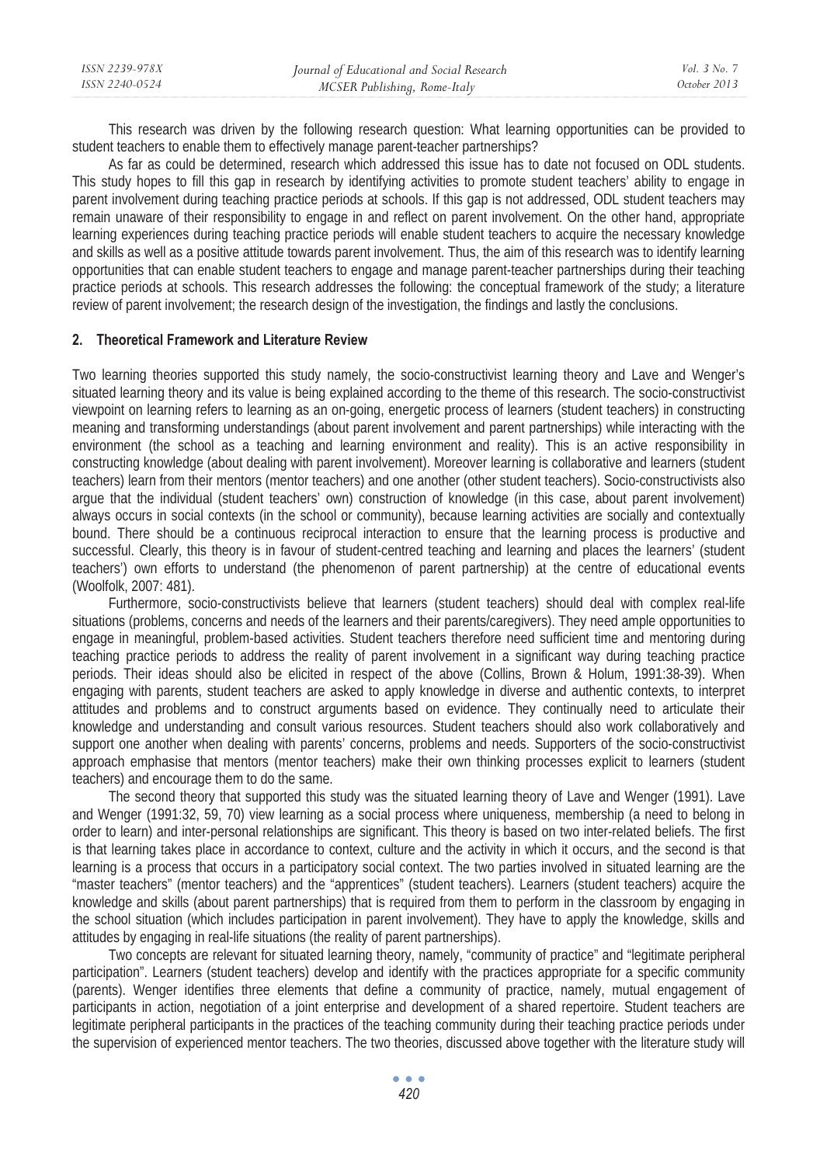| ISSN 2239-978X | Journal of Educational and Social Research | Vol. 3 No. 7 |
|----------------|--------------------------------------------|--------------|
| ISSN 2240-0524 | MCSER Publishing, Rome-Italy               | October 2013 |

This research was driven by the following research question: What learning opportunities can be provided to student teachers to enable them to effectively manage parent-teacher partnerships?

As far as could be determined, research which addressed this issue has to date not focused on ODL students. This study hopes to fill this gap in research by identifying activities to promote student teachers' ability to engage in parent involvement during teaching practice periods at schools. If this gap is not addressed, ODL student teachers may remain unaware of their responsibility to engage in and reflect on parent involvement. On the other hand, appropriate learning experiences during teaching practice periods will enable student teachers to acquire the necessary knowledge and skills as well as a positive attitude towards parent involvement. Thus, the aim of this research was to identify learning opportunities that can enable student teachers to engage and manage parent-teacher partnerships during their teaching practice periods at schools. This research addresses the following: the conceptual framework of the study; a literature review of parent involvement; the research design of the investigation, the findings and lastly the conclusions.

#### **2. Theoretical Framework and Literature Review**

Two learning theories supported this study namely, the socio-constructivist learning theory and Lave and Wenger's situated learning theory and its value is being explained according to the theme of this research. The socio-constructivist viewpoint on learning refers to learning as an on-going, energetic process of learners (student teachers) in constructing meaning and transforming understandings (about parent involvement and parent partnerships) while interacting with the environment (the school as a teaching and learning environment and reality). This is an active responsibility in constructing knowledge (about dealing with parent involvement). Moreover learning is collaborative and learners (student teachers) learn from their mentors (mentor teachers) and one another (other student teachers). Socio-constructivists also argue that the individual (student teachers' own) construction of knowledge (in this case, about parent involvement) always occurs in social contexts (in the school or community), because learning activities are socially and contextually bound. There should be a continuous reciprocal interaction to ensure that the learning process is productive and successful. Clearly, this theory is in favour of student-centred teaching and learning and places the learners' (student teachers') own efforts to understand (the phenomenon of parent partnership) at the centre of educational events (Woolfolk, 2007: 481).

Furthermore, socio-constructivists believe that learners (student teachers) should deal with complex real-life situations (problems, concerns and needs of the learners and their parents/caregivers). They need ample opportunities to engage in meaningful, problem-based activities. Student teachers therefore need sufficient time and mentoring during teaching practice periods to address the reality of parent involvement in a significant way during teaching practice periods. Their ideas should also be elicited in respect of the above (Collins, Brown & Holum, 1991:38-39). When engaging with parents, student teachers are asked to apply knowledge in diverse and authentic contexts, to interpret attitudes and problems and to construct arguments based on evidence. They continually need to articulate their knowledge and understanding and consult various resources. Student teachers should also work collaboratively and support one another when dealing with parents' concerns, problems and needs. Supporters of the socio-constructivist approach emphasise that mentors (mentor teachers) make their own thinking processes explicit to learners (student teachers) and encourage them to do the same.

The second theory that supported this study was the situated learning theory of Lave and Wenger (1991). Lave and Wenger (1991:32, 59, 70) view learning as a social process where uniqueness, membership (a need to belong in order to learn) and inter-personal relationships are significant. This theory is based on two inter-related beliefs. The first is that learning takes place in accordance to context, culture and the activity in which it occurs, and the second is that learning is a process that occurs in a participatory social context. The two parties involved in situated learning are the "master teachers" (mentor teachers) and the "apprentices" (student teachers). Learners (student teachers) acquire the knowledge and skills (about parent partnerships) that is required from them to perform in the classroom by engaging in the school situation (which includes participation in parent involvement). They have to apply the knowledge, skills and attitudes by engaging in real-life situations (the reality of parent partnerships).

Two concepts are relevant for situated learning theory, namely, "community of practice" and "legitimate peripheral participation". Learners (student teachers) develop and identify with the practices appropriate for a specific community (parents). Wenger identifies three elements that define a community of practice, namely, mutual engagement of participants in action, negotiation of a joint enterprise and development of a shared repertoire. Student teachers are legitimate peripheral participants in the practices of the teaching community during their teaching practice periods under the supervision of experienced mentor teachers. The two theories, discussed above together with the literature study will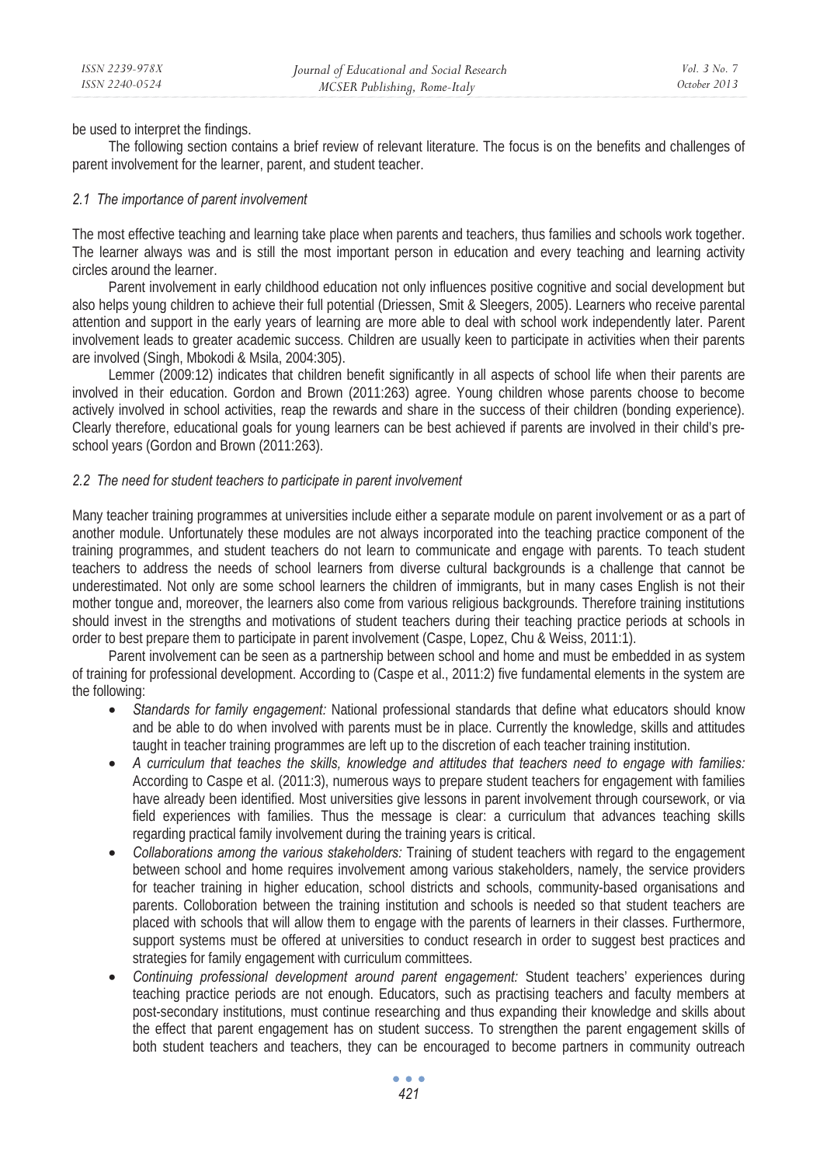be used to interpret the findings.

The following section contains a brief review of relevant literature. The focus is on the benefits and challenges of parent involvement for the learner, parent, and student teacher.

### *2.1 The importance of parent involvement*

The most effective teaching and learning take place when parents and teachers, thus families and schools work together. The learner always was and is still the most important person in education and every teaching and learning activity circles around the learner.

Parent involvement in early childhood education not only influences positive cognitive and social development but also helps young children to achieve their full potential (Driessen, Smit & Sleegers, 2005). Learners who receive parental attention and support in the early years of learning are more able to deal with school work independently later. Parent involvement leads to greater academic success. Children are usually keen to participate in activities when their parents are involved (Singh, Mbokodi & Msila, 2004:305).

Lemmer (2009:12) indicates that children benefit significantly in all aspects of school life when their parents are involved in their education. Gordon and Brown (2011:263) agree. Young children whose parents choose to become actively involved in school activities, reap the rewards and share in the success of their children (bonding experience). Clearly therefore, educational goals for young learners can be best achieved if parents are involved in their child's preschool years (Gordon and Brown (2011:263).

# *2.2 The need for student teachers to participate in parent involvement*

Many teacher training programmes at universities include either a separate module on parent involvement or as a part of another module. Unfortunately these modules are not always incorporated into the teaching practice component of the training programmes, and student teachers do not learn to communicate and engage with parents. To teach student teachers to address the needs of school learners from diverse cultural backgrounds is a challenge that cannot be underestimated. Not only are some school learners the children of immigrants, but in many cases English is not their mother tongue and, moreover, the learners also come from various religious backgrounds. Therefore training institutions should invest in the strengths and motivations of student teachers during their teaching practice periods at schools in order to best prepare them to participate in parent involvement (Caspe, Lopez, Chu & Weiss, 2011:1).

Parent involvement can be seen as a partnership between school and home and must be embedded in as system of training for professional development. According to (Caspe et al., 2011:2) five fundamental elements in the system are the following:

- *Standards for family engagement:* National professional standards that define what educators should know and be able to do when involved with parents must be in place. Currently the knowledge, skills and attitudes taught in teacher training programmes are left up to the discretion of each teacher training institution.
- *A curriculum that teaches the skills, knowledge and attitudes that teachers need to engage with families:*  According to Caspe et al. (2011:3), numerous ways to prepare student teachers for engagement with families have already been identified. Most universities give lessons in parent involvement through coursework, or via field experiences with families. Thus the message is clear: a curriculum that advances teaching skills regarding practical family involvement during the training years is critical.
- *Collaborations among the various stakeholders:* Training of student teachers with regard to the engagement between school and home requires involvement among various stakeholders, namely, the service providers for teacher training in higher education, school districts and schools, community-based organisations and parents. Colloboration between the training institution and schools is needed so that student teachers are placed with schools that will allow them to engage with the parents of learners in their classes. Furthermore, support systems must be offered at universities to conduct research in order to suggest best practices and strategies for family engagement with curriculum committees.
- *Continuing professional development around parent engagement:* Student teachers' experiences during teaching practice periods are not enough. Educators, such as practising teachers and faculty members at post-secondary institutions, must continue researching and thus expanding their knowledge and skills about the effect that parent engagement has on student success. To strengthen the parent engagement skills of both student teachers and teachers, they can be encouraged to become partners in community outreach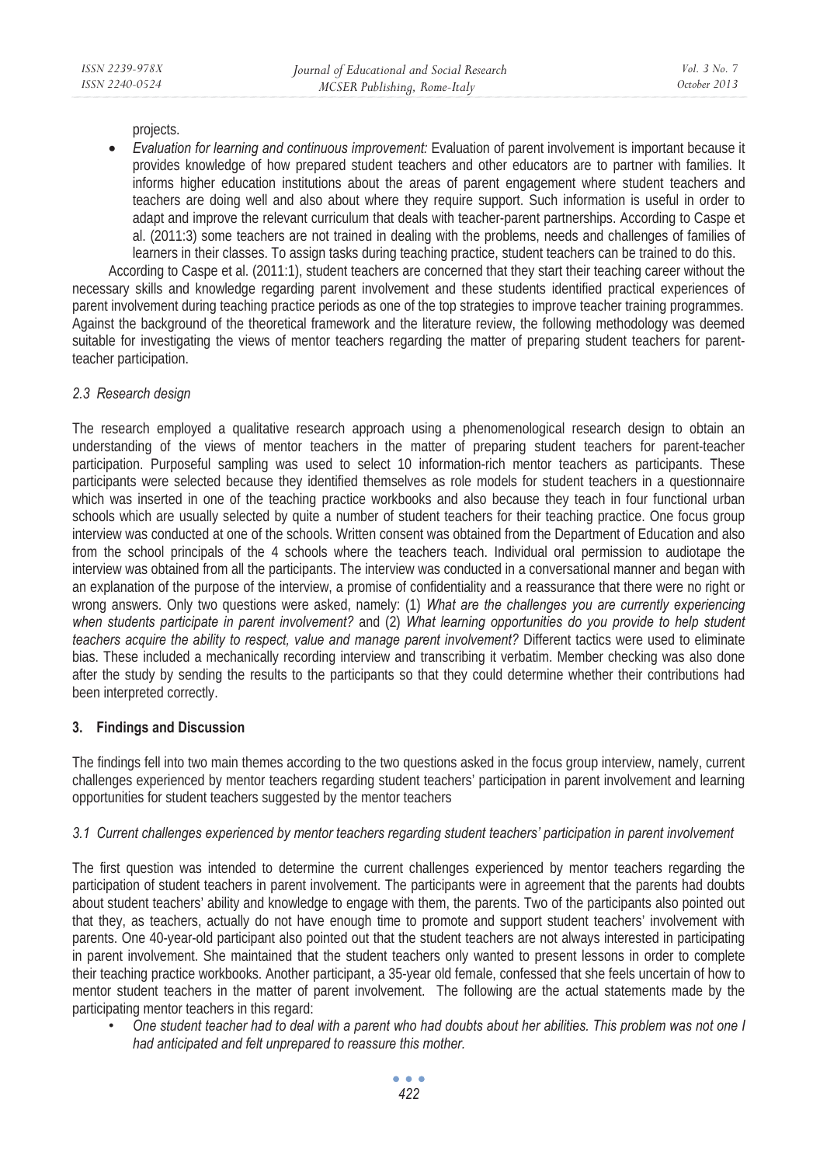projects.

• *Evaluation for learning and continuous improvement:* Evaluation of parent involvement is important because it provides knowledge of how prepared student teachers and other educators are to partner with families. It informs higher education institutions about the areas of parent engagement where student teachers and teachers are doing well and also about where they require support. Such information is useful in order to adapt and improve the relevant curriculum that deals with teacher-parent partnerships. According to Caspe et al. (2011:3) some teachers are not trained in dealing with the problems, needs and challenges of families of learners in their classes. To assign tasks during teaching practice, student teachers can be trained to do this.

According to Caspe et al. (2011:1), student teachers are concerned that they start their teaching career without the necessary skills and knowledge regarding parent involvement and these students identified practical experiences of parent involvement during teaching practice periods as one of the top strategies to improve teacher training programmes. Against the background of the theoretical framework and the literature review, the following methodology was deemed suitable for investigating the views of mentor teachers regarding the matter of preparing student teachers for parentteacher participation.

# *2.3 Research design*

The research employed a qualitative research approach using a phenomenological research design to obtain an understanding of the views of mentor teachers in the matter of preparing student teachers for parent-teacher participation. Purposeful sampling was used to select 10 information-rich mentor teachers as participants. These participants were selected because they identified themselves as role models for student teachers in a questionnaire which was inserted in one of the teaching practice workbooks and also because they teach in four functional urban schools which are usually selected by quite a number of student teachers for their teaching practice. One focus group interview was conducted at one of the schools. Written consent was obtained from the Department of Education and also from the school principals of the 4 schools where the teachers teach. Individual oral permission to audiotape the interview was obtained from all the participants. The interview was conducted in a conversational manner and began with an explanation of the purpose of the interview, a promise of confidentiality and a reassurance that there were no right or wrong answers. Only two questions were asked, namely: (1) *What are the challenges you are currently experiencing when students participate in parent involvement?* and (2) *What learning opportunities do you provide to help student teachers acquire the ability to respect, value and manage parent involvement?* Different tactics were used to eliminate bias. These included a mechanically recording interview and transcribing it verbatim. Member checking was also done after the study by sending the results to the participants so that they could determine whether their contributions had been interpreted correctly.

# **3. Findings and Discussion**

The findings fell into two main themes according to the two questions asked in the focus group interview, namely, current challenges experienced by mentor teachers regarding student teachers' participation in parent involvement and learning opportunities for student teachers suggested by the mentor teachers

# *3.1 Current challenges experienced by mentor teachers regarding student teachers' participation in parent involvement*

The first question was intended to determine the current challenges experienced by mentor teachers regarding the participation of student teachers in parent involvement. The participants were in agreement that the parents had doubts about student teachers' ability and knowledge to engage with them, the parents. Two of the participants also pointed out that they, as teachers, actually do not have enough time to promote and support student teachers' involvement with parents. One 40-year-old participant also pointed out that the student teachers are not always interested in participating in parent involvement. She maintained that the student teachers only wanted to present lessons in order to complete their teaching practice workbooks. Another participant, a 35-year old female, confessed that she feels uncertain of how to mentor student teachers in the matter of parent involvement. The following are the actual statements made by the participating mentor teachers in this regard:

• *One student teacher had to deal with a parent who had doubts about her abilities. This problem was not one I had anticipated and felt unprepared to reassure this mother.*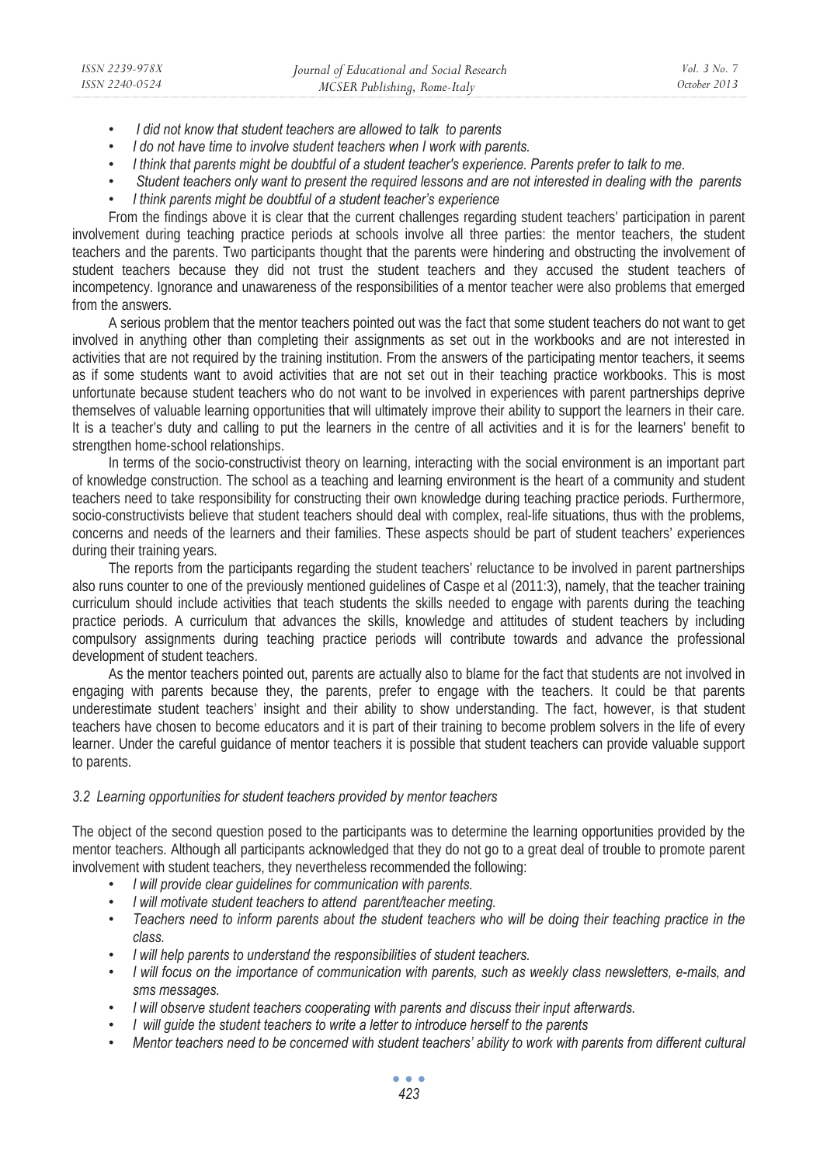- *I did not know that student teachers are allowed to talk to parents*
- *I do not have time to involve student teachers when I work with parents.*
- *I think that parents might be doubtful of a student teacher's experience. Parents prefer to talk to me.*
- *Student teachers only want to present the required lessons and are not interested in dealing with the parents*
- *I think parents might be doubtful of a student teacher's experience*

From the findings above it is clear that the current challenges regarding student teachers' participation in parent involvement during teaching practice periods at schools involve all three parties: the mentor teachers, the student teachers and the parents. Two participants thought that the parents were hindering and obstructing the involvement of student teachers because they did not trust the student teachers and they accused the student teachers of incompetency. Ignorance and unawareness of the responsibilities of a mentor teacher were also problems that emerged from the answers.

A serious problem that the mentor teachers pointed out was the fact that some student teachers do not want to get involved in anything other than completing their assignments as set out in the workbooks and are not interested in activities that are not required by the training institution. From the answers of the participating mentor teachers, it seems as if some students want to avoid activities that are not set out in their teaching practice workbooks. This is most unfortunate because student teachers who do not want to be involved in experiences with parent partnerships deprive themselves of valuable learning opportunities that will ultimately improve their ability to support the learners in their care. It is a teacher's duty and calling to put the learners in the centre of all activities and it is for the learners' benefit to strengthen home-school relationships.

In terms of the socio-constructivist theory on learning, interacting with the social environment is an important part of knowledge construction. The school as a teaching and learning environment is the heart of a community and student teachers need to take responsibility for constructing their own knowledge during teaching practice periods. Furthermore, socio-constructivists believe that student teachers should deal with complex, real-life situations, thus with the problems, concerns and needs of the learners and their families. These aspects should be part of student teachers' experiences during their training years.

The reports from the participants regarding the student teachers' reluctance to be involved in parent partnerships also runs counter to one of the previously mentioned guidelines of Caspe et al (2011:3), namely, that the teacher training curriculum should include activities that teach students the skills needed to engage with parents during the teaching practice periods. A curriculum that advances the skills, knowledge and attitudes of student teachers by including compulsory assignments during teaching practice periods will contribute towards and advance the professional development of student teachers.

As the mentor teachers pointed out, parents are actually also to blame for the fact that students are not involved in engaging with parents because they, the parents, prefer to engage with the teachers. It could be that parents underestimate student teachers' insight and their ability to show understanding. The fact, however, is that student teachers have chosen to become educators and it is part of their training to become problem solvers in the life of every learner. Under the careful guidance of mentor teachers it is possible that student teachers can provide valuable support to parents.

# *3.2 Learning opportunities for student teachers provided by mentor teachers*

The object of the second question posed to the participants was to determine the learning opportunities provided by the mentor teachers. Although all participants acknowledged that they do not go to a great deal of trouble to promote parent involvement with student teachers, they nevertheless recommended the following:

- *I will provide clear guidelines for communication with parents.*
- *I will motivate student teachers to attend parent/teacher meeting.*
- *Teachers need to inform parents about the student teachers who will be doing their teaching practice in the class.*
- *I will help parents to understand the responsibilities of student teachers.*
- *I will focus on the importance of communication with parents, such as weekly class newsletters, e-mails, and sms messages.*
- *I will observe student teachers cooperating with parents and discuss their input afterwards.*
- *I will guide the student teachers to write a letter to introduce herself to the parents*
- *Mentor teachers need to be concerned with student teachers' ability to work with parents from different cultural*